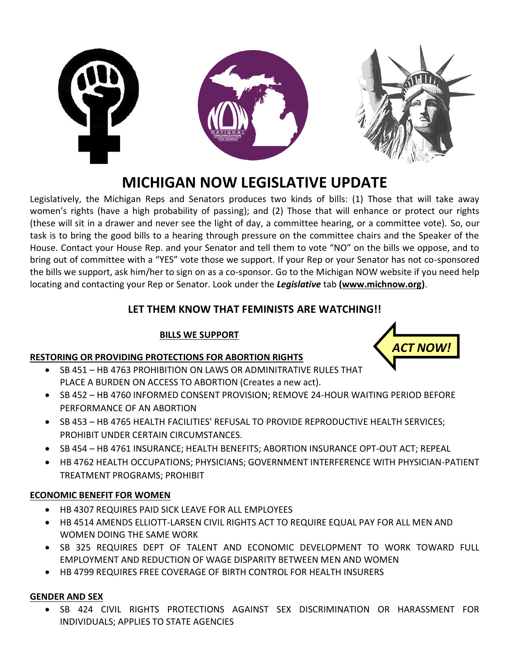

# **MICHIGAN NOW LEGISLATIVE UPDATE**

Legislatively, the Michigan Reps and Senators produces two kinds of bills: (1) Those that will take away women's rights (have a high probability of passing); and (2) Those that will enhance or protect our rights (these will sit in a drawer and never see the light of day, a committee hearing, or a committee vote). So, our task is to bring the good bills to a hearing through pressure on the committee chairs and the Speaker of the House. Contact your House Rep. and your Senator and tell them to vote "NO" on the bills we oppose, and to bring out of committee with a "YES" vote those we support. If your Rep or your Senator has not co-sponsored the bills we support, ask him/her to sign on as a co-sponsor. Go to the Michigan NOW website if you need help locating and contacting your Rep or Senator. Look under the *Legislative* tab **[\(www.michnow.org\)](http://www.michnow.org/)**.

## **LET THEM KNOW THAT FEMINISTS ARE WATCHING!!**

## **BILLS WE SUPPORT**

## **RESTORING OR PROVIDING PROTECTIONS FOR ABORTION RIGHTS**

- SB 451 HB 4763 PROHIBITION ON LAWS OR ADMINITRATIVE RULES THAT PLACE A BURDEN ON ACCESS TO ABORTION (Creates a new act).
- SB 452 HB 4760 INFORMED CONSENT PROVISION; REMOVE 24-HOUR WAITING PERIOD BEFORE PERFORMANCE OF AN ABORTION
- SB 453 HB 4765 HEALTH FACILITIES' REFUSAL TO PROVIDE REPRODUCTIVE HEALTH SERVICES; PROHIBIT UNDER CERTAIN CIRCUMSTANCES.
- SB 454 HB 4761 INSURANCE; HEALTH BENEFITS; ABORTION INSURANCE OPT-OUT ACT; REPEAL
- HB 4762 HEALTH OCCUPATIONS; PHYSICIANS; GOVERNMENT INTERFERENCE WITH PHYSICIAN-PATIENT TREATMENT PROGRAMS; PROHIBIT

## **ECONOMIC BENEFIT FOR WOMEN**

- HB 4307 REQUIRES PAID SICK LEAVE FOR ALL EMPLOYEES
- HB 4514 AMENDS ELLIOTT-LARSEN CIVIL RIGHTS ACT TO REQUIRE EQUAL PAY FOR ALL MEN AND WOMEN DOING THE SAME WORK
- SB 325 REQUIRES DEPT OF TALENT AND ECONOMIC DEVELOPMENT TO WORK TOWARD FULL EMPLOYMENT AND REDUCTION OF WAGE DISPARITY BETWEEN MEN AND WOMEN
- HB 4799 REQUIRES FREE COVERAGE OF BIRTH CONTROL FOR HEALTH INSURERS

## **GENDER AND SEX**

 SB 424 CIVIL RIGHTS PROTECTIONS AGAINST SEX DISCRIMINATION OR HARASSMENT FOR INDIVIDUALS; APPLIES TO STATE AGENCIES